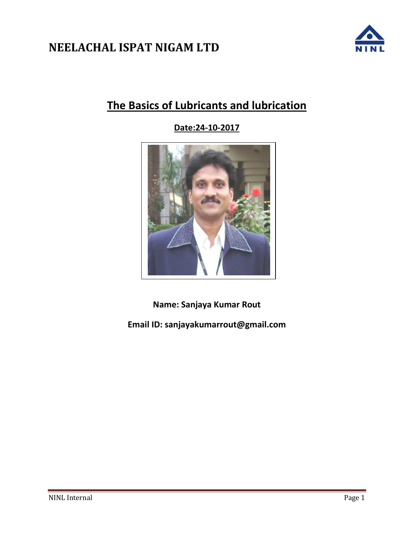

# **The Basics of Lubricants and lubrication**

**Date:24-10-2017**



**Name: Sanjaya Kumar Rout**

**Email ID: sanjayakumarrout@gmail.com**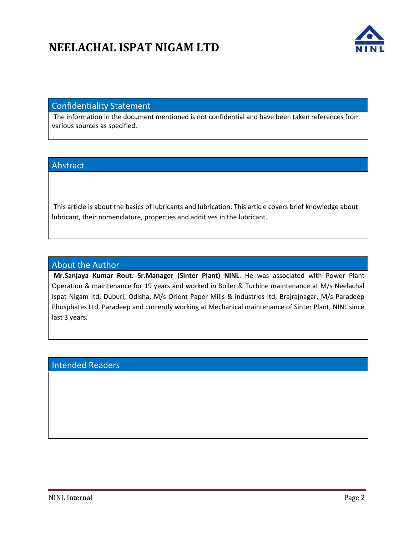

## Confidentiality Statement

The information in the document mentioned is not confidential and have been taken references from various sources as specified.

## Abstract

This article is about the basics of lubricants and lubrication. This article covers brief knowledge about lubricant, their nomenclature, properties and additives in the lubricant.

### About the Author

**Mr.Sanjaya Kumar Rout**. **Sr.Manager (Sinter Plant) NINL**. He was associated with Power Plant Operation & maintenance for 19 years and worked in Boiler & Turbine maintenance at M/s Neelachal Ispat Nigam ltd, Duburi, Odisha, M/s Orient Paper Mills & industries ltd, Brajrajnagar, M/s Paradeep Phosphates Ltd, Paradeep and currently working at Mechanical maintenance of Sinter Plant, NINL since last 3 years.

# Intended Readers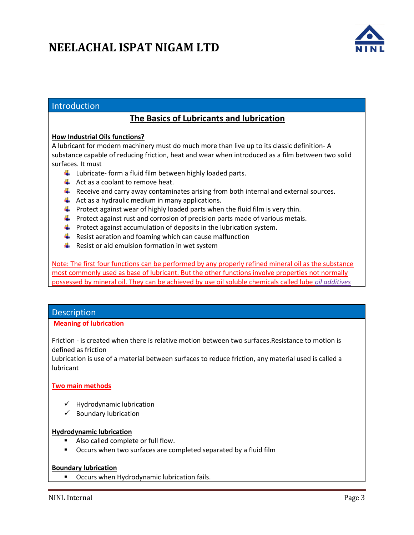

## Introduction

# **The Basics of Lubricants and lubrication**

#### **How Industrial Oils functions?**

A lubricant for modern machinery must do much more than live up to its classic definition- A substance capable of reducing friction, heat and wear when introduced as a film between two solid surfaces. It must

- $\downarrow$  Lubricate- form a fluid film between highly loaded parts.
- $\overline{\phantom{a}}$  Act as a coolant to remove heat.
- $\ddot{\phantom{1}}$  Receive and carry away contaminates arising from both internal and external sources.
- $\downarrow$  Act as a hydraulic medium in many applications.
- $\downarrow$  Protect against wear of highly loaded parts when the fluid film is very thin.
- $\ddot{\phantom{1}}$  Protect against rust and corrosion of precision parts made of various metals.
- $\downarrow$  Protect against accumulation of deposits in the lubrication system.
- $\downarrow$  Resist aeration and foaming which can cause malfunction
- $\downarrow$  Resist or aid emulsion formation in wet system

Note: The first four functions can be performed by any properly refined mineral oil as the substance most commonly used as base of lubricant. But the other functions involve properties not normally possessed by mineral oil. They can be achieved by use oil soluble chemicals called lube *oil additives*

### **Description**

#### **Meaning of lubrication**

Friction - is created when there is relative motion between two surfaces.Resistance to motion is defined as friction

Lubrication is use of a material between surfaces to reduce friction, any material used is called a lubricant

### **Two main methods**

- $\checkmark$  Hydrodynamic lubrication
- $\checkmark$  Boundary lubrication

#### **Hydrodynamic lubrication**

- Also called complete or full flow.
- **•** Occurs when two surfaces are completed separated by a fluid film

#### **Boundary lubrication**

**• Occurs when Hydrodynamic lubrication fails.**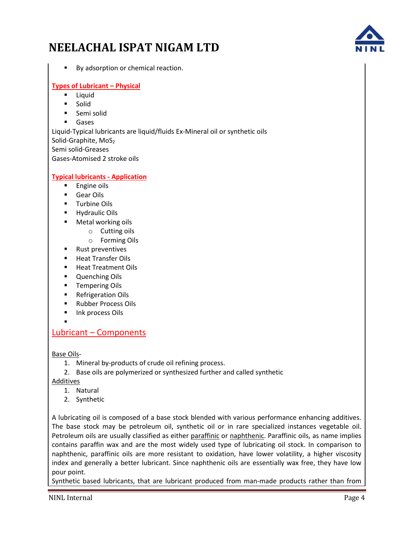By adsorption or chemical reaction.

### **Types of Lubricant – Physical**

- **Liquid**
- Solid
- **Semi solid**
- **Gases**

Liquid-Typical lubricants are liquid/fluids Ex-Mineral oil or synthetic oils Solid-Graphite, MoS<sub>2</sub> Semi solid-Greases Gases-Atomised 2 stroke oils

#### **Typical lubricants - Application**

- **Engine oils**
- Gear Oils
- Turbine Oils
- **Hydraulic Oils**
- Metal working oils
	- o Cutting oils
		- o Forming Oils
- **Rust preventives**
- **Heat Transfer Oils**
- **Heat Treatment Oils**
- **Quenching Oils**
- Tempering Oils
- **Refrigeration Oils**
- Rubber Process Oils
- Ink process Oils
- $\blacksquare$

## Lubricant – Components

Base Oils-

- 1. Mineral by-products of crude oil refining process.
- 2. Base oils are polymerized or synthesized further and called synthetic

Additives

- 1. Natural
- 2. Synthetic

A lubricating oil is composed of a base stock blended with various performance enhancing additives. The base stock may be petroleum oil, synthetic oil or in rare specialized instances vegetable oil. Petroleum oils are usually classified as either paraffinic or naphthenic. Paraffinic oils, as name implies contains paraffin wax and are the most widely used type of lubricating oil stock. In comparison to naphthenic, paraffinic oils are more resistant to oxidation, have lower volatility, a higher viscosity index and generally a better lubricant. Since naphthenic oils are essentially wax free, they have low pour point.

Synthetic based lubricants, that are lubricant produced from man-made products rather than from

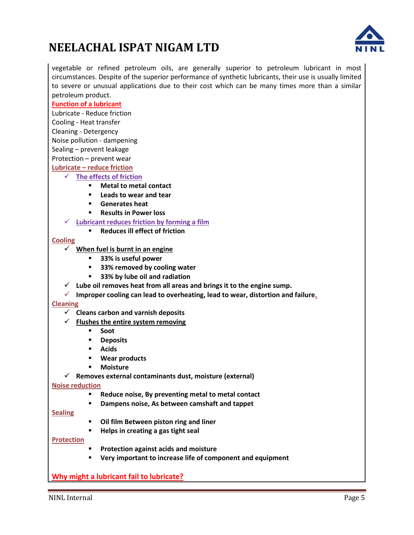

vegetable or refined petroleum oils, are generally superior to petroleum lubricant in most circumstances. Despite of the superior performance of synthetic lubricants, their use is usually limited to severe or unusual applications due to their cost which can be many times more than a similar petroleum product.

### **Function of a lubricant**

Lubricate - Reduce friction

Cooling - Heat transfer

Cleaning - Detergency

Noise pollution - dampening

Sealing – prevent leakage

Protection – prevent wear

**Lubricate – reduce friction**

- **The effects of friction**
	- **Metal to metal contact**
	- **Leads to wear and tear**
	- **Generates heat**
	- **Results in Power loss**
	- **Lubricant reduces friction by forming a film**
		- **Reduces ill effect of friction**

#### **Cooling**

- **When fuel is burnt in an engine**
	- **33% is useful power**
	- **33% removed by cooling water**
	- **33% by lube oil and radiation**
- **Lube oil removes heat from all areas and brings it to the engine sump.**
- **Improper cooling can lead to overheating, lead to wear, distortion and failure.**

#### **Cleaning**

- **Cleans carbon and varnish deposits**
- $\checkmark$  Flushes the entire system removing
	- **Soot**
	- **P** Deposits
	- **Acids**
	- **Wear products**
	- **Moisture**
- **Removes external contaminants dust, moisture (external)**

#### **Noise reduction**

- **Reduce noise, By preventing metal to metal contact**
- **Dampens noise, As between camshaft and tappet**

#### **Sealing**

- **Oil film Between piston ring and liner**
- **Helps in creating a gas tight seal**

#### **Protection**

- **Protection against acids and moisture**
- **Very important to increase life of component and equipment**

## **Why might a lubricant fail to lubricate?**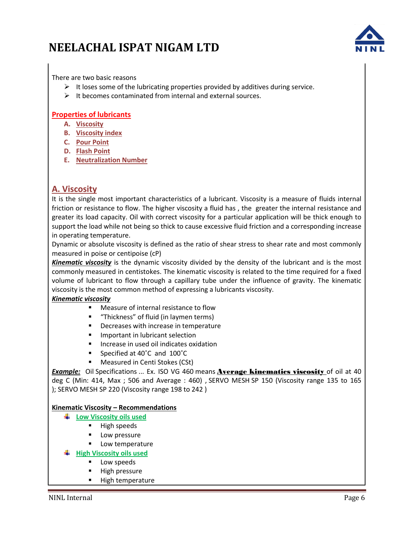

There are two basic reasons

- $\triangleright$  It loses some of the lubricating properties provided by additives during service.
- $\triangleright$  It becomes contaminated from internal and external sources.

### **Properties of lubricants**

- **A. Viscosity**
- **B. Viscosity index**
- **C. Pour Point**
- **D. Flash Point**
- **E. Neutralization Number**

## **A. Viscosity**

It is the single most important characteristics of a lubricant. Viscosity is a measure of fluids internal friction or resistance to flow. The higher viscosity a fluid has , the greater the internal resistance and greater its load capacity. Oil with correct viscosity for a particular application will be thick enough to support the load while not being so thick to cause excessive fluid friction and a corresponding increase in operating temperature.

Dynamic or absolute viscosity is defined as the ratio of shear stress to shear rate and most commonly measured in poise or centipoise (cP)

*Kinematic viscosity* is the dynamic viscosity divided by the density of the lubricant and is the most commonly measured in centistokes. The kinematic viscosity is related to the time required for a fixed volume of lubricant to flow through a capillary tube under the influence of gravity. The kinematic viscosity is the most common method of expressing a lubricants viscosity.

### *Kinematic viscosity*

- **Measure of internal resistance to flow**
- "Thickness" of fluid (in laymen terms)
- **Decreases with increase in temperature**
- **Important in lubricant selection**
- Increase in used oil indicates oxidation
- Specified at 40°C and 100°C
- **Measured in Centi Stokes (CSt)**

**Example:** Oil Specifications ... Ex. ISO VG 460 means **Average kinematics viscosity** of oil at 40 deg C (Min: 414, Max ; 506 and Average : 460) , SERVO MESH SP 150 (Viscosity range 135 to 165 ); SERVO MESH SP 220 (Viscosity range 198 to 242 )

### **Kinematic Viscosity – Recommendations**

- **Low Viscosity oils used**
	- $\blacksquare$  High speeds
	- Low pressure
	- Low temperature
- **High Viscosity oils used**
	- Low speeds
	- High pressure
	- **High temperature**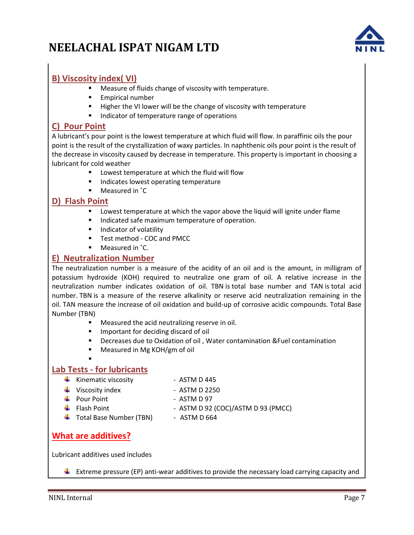

# **B) Viscosity index( VI)**

- **Measure of fluids change of viscosity with temperature.**
- **Empirical number**
- **Higher the VI lower will be the change of viscosity with temperature**
- Indicator of temperature range of operations

## **C) Pour Point**

A lubricant's pour point is the lowest temperature at which fluid will flow. In paraffinic oils the pour point is the result of the crystallization of waxy particles. In naphthenic oils pour point is the result of the decrease in viscosity caused by decrease in temperature. This property is important in choosing a lubricant for cold weather

- **EXEC** Lowest temperature at which the fluid will flow
- **Indicates lowest operating temperature**
- Measured in ˚C

## **D) Flash Point**

- **EXTER** Lowest temperature at which the vapor above the liquid will ignite under flame
- **IF Indicated safe maximum temperature of operation.**
- **Indicator of volatility**
- **Test method COC and PMCC**
- Measured in  $°C$ .

## **E) Neutralization Number**

The neutralization number is a measure of the acidity of an oil and is the amount, in milligram of potassium hydroxide (KOH) required to neutralize one gram of oil. A relative increase in the neutralization number indicates oxidation of oil. TBN is total base number and TAN is total acid number. TBN is a measure of the reserve alkalinity or reserve acid neutralization remaining in the oil. TAN measure the increase of oil oxidation and build-up of corrosive acidic compounds. Total Base Number (TBN)

- Measured the acid neutralizing reserve in oil.
- **Important for deciding discard of oil**
- Decreases due to Oxidation of oil , Water contamination &Fuel contamination
- Measured in Mg KOH/gm of oil

## **Lab Tests - for lubricants**

- $\frac{1}{\sqrt{1}}$  Kinematic viscosity ASTM D 445
- $\downarrow$  Viscosity index ASTM D 2250
- $\overline{\text{4}}$  Pour Point  $\overline{\text{4}}$  ASTM D 97

 $\blacksquare$ 

- 
- ↓ Total Base Number (TBN) ASTM D 664
- $\overline{\text{+}}$  Flash Point  $\overline{\text{--}}$  ASTM D 92 (COC)/ASTM D 93 (PMCC)

# **What are additives?**

Lubricant additives used includes

**Extreme pressure (EP) anti-wear additives to provide the necessary load carrying capacity and**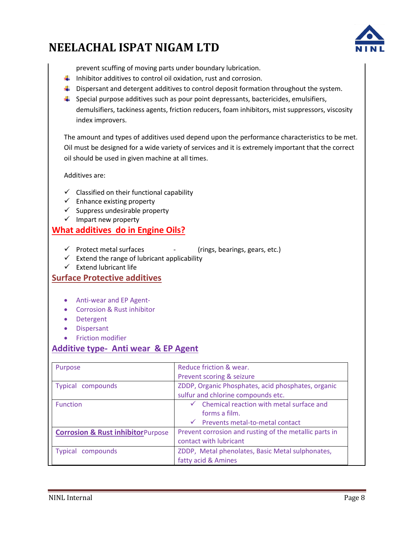

prevent scuffing of moving parts under boundary lubrication.

- $\ddot{\phantom{1}}$  Inhibitor additives to control oil oxidation, rust and corrosion.
- $\blacktriangle$  Dispersant and detergent additives to control deposit formation throughout the system.
- $\ddot{\phantom{1}}$  Special purpose additives such as pour point depressants, bactericides, emulsifiers, demulsifiers, tackiness agents, friction reducers, foam inhibitors, mist suppressors, viscosity index improvers.

The amount and types of additives used depend upon the performance characteristics to be met. Oil must be designed for a wide variety of services and it is extremely important that the correct oil should be used in given machine at all times.

Additives are:

- $\checkmark$  Classified on their functional capability
- $\checkmark$  Enhance existing property
- $\checkmark$  Suppress undesirable property
- $\checkmark$  Impart new property

## **What additives do in Engine Oils?**

- $\checkmark$  Protect metal surfaces  $\checkmark$  (rings, bearings, gears, etc.)
- $\checkmark$  Extend the range of lubricant applicability
- $\checkmark$  Extend lubricant life

## **Surface Protective additives**

- Anti-wear and EP Agent-
- Corrosion & Rust inhibitor
- Detergent
- Dispersant
- **•** Friction modifier

## **Additive type- Anti wear & EP Agent**

| Purpose                                      | Reduce friction & wear.                                                                                                 |  |
|----------------------------------------------|-------------------------------------------------------------------------------------------------------------------------|--|
|                                              | Prevent scoring & seizure                                                                                               |  |
| Typical compounds                            | ZDDP, Organic Phosphates, acid phosphates, organic<br>sulfur and chlorine compounds etc.                                |  |
| <b>Function</b>                              | Chemical reaction with metal surface and<br>$\sqrt{2}$<br>forms a film.<br>$\checkmark$ Prevents metal-to-metal contact |  |
| <b>Corrosion &amp; Rust inhibitorPurpose</b> | Prevent corrosion and rusting of the metallic parts in<br>contact with lubricant                                        |  |
| compounds<br>Typical                         | ZDDP, Metal phenolates, Basic Metal sulphonates,<br>fatty acid & Amines                                                 |  |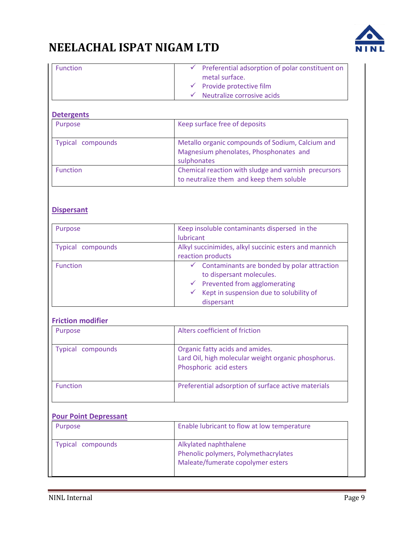

| <b>Function</b> | $\checkmark$ Preferential adsorption of polar constituent on |
|-----------------|--------------------------------------------------------------|
|                 | metal surface.                                               |
|                 | $\checkmark$ Provide protective film                         |
|                 | $\checkmark$ Neutralize corrosive acids                      |

#### **Detergents**

| Purpose           | Keep surface free of deposits                                                                             |
|-------------------|-----------------------------------------------------------------------------------------------------------|
| Typical compounds | Metallo organic compounds of Sodium, Calcium and<br>Magnesium phenolates, Phosphonates and<br>sulphonates |
| <b>Function</b>   | Chemical reaction with sludge and varnish precursors<br>to neutralize them and keep them soluble          |

## **Dispersant**

| Purpose           | Keep insoluble contaminants dispersed in the<br>lubricant                                                                                                                                                     |
|-------------------|---------------------------------------------------------------------------------------------------------------------------------------------------------------------------------------------------------------|
| Typical compounds | Alkyl succinimides, alkyl succinic esters and mannich<br>reaction products                                                                                                                                    |
| <b>Function</b>   | $\checkmark$ Contaminants are bonded by polar attraction<br>to dispersant molecules.<br>Prevented from agglomerating<br>$\checkmark$<br>Kept in suspension due to solubility of<br>$\checkmark$<br>dispersant |

### **Friction modifier**

| Purpose           | Alters coefficient of friction                                                                                   |
|-------------------|------------------------------------------------------------------------------------------------------------------|
| Typical compounds | Organic fatty acids and amides.<br>Lard Oil, high molecular weight organic phosphorus.<br>Phosphoric acid esters |
| <b>Function</b>   | Preferential adsorption of surface active materials                                                              |

### **Pour Point Depressant**

| Purpose           | Enable lubricant to flow at low temperature                                                        |
|-------------------|----------------------------------------------------------------------------------------------------|
| Typical compounds | Alkylated naphthalene<br>Phenolic polymers, Polymethacrylates<br>Maleate/fumerate copolymer esters |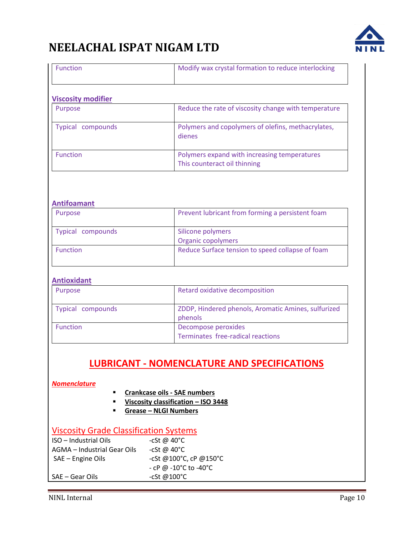

| <b>Function</b>           | Modify wax crystal formation to reduce interlocking                          |
|---------------------------|------------------------------------------------------------------------------|
| <b>Viscosity modifier</b> |                                                                              |
| Purpose                   | Reduce the rate of viscosity change with temperature                         |
| Typical compounds         | Polymers and copolymers of olefins, methacrylates,<br>dienes                 |
| <b>Function</b>           | Polymers expand with increasing temperatures<br>This counteract oil thinning |

#### **Antifoamant**

| Purpose           | Prevent lubricant from forming a persistent foam |
|-------------------|--------------------------------------------------|
| Typical compounds | Silicone polymers<br><b>Organic copolymers</b>   |
| <b>Function</b>   | Reduce Surface tension to speed collapse of foam |

#### **Antioxidant**

| Purpose           | Retard oxidative decomposition                                 |
|-------------------|----------------------------------------------------------------|
| Typical compounds | ZDDP, Hindered phenols, Aromatic Amines, sulfurized<br>phenols |
| <b>Function</b>   | Decompose peroxides<br>Terminates free-radical reactions       |

# **LUBRICANT - NOMENCLATURE AND SPECIFICATIONS**

*Nomenclature*

- **Crankcase oils - SAE numbers**
- **Viscosity classification – ISO 3448**
- **Grease – NLGI Numbers**

# Viscosity Grade Classification Systems

| ISO – Industrial Oils       | -cSt @ $40^{\circ}$ C  |
|-----------------------------|------------------------|
| AGMA – Industrial Gear Oils | -cSt @ $40^{\circ}$ C  |
| SAE - Engine Oils           | -cSt @100°C, cP @150°C |
|                             | - cP @ -10°C to -40°C  |
| SAE – Gear Oils             | -cSt @100 $^{\circ}$ C |
|                             |                        |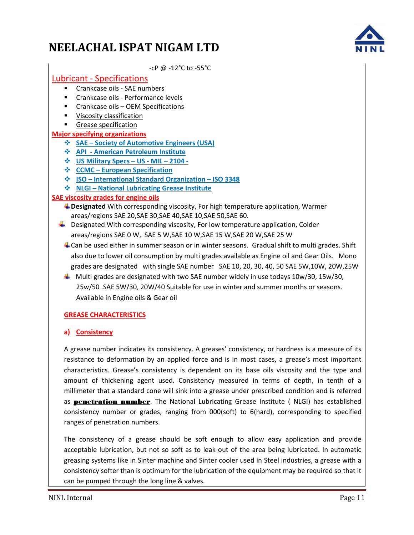

-cP @ -12°C to -55°C

## Lubricant - Specifications

- Crankcase oils SAE numbers
- **EXECR** Crankcase oils Performance levels
- **EXECR** Crankcase oils OEM Specifications
- **Viscosity classification**
- Grease specification

### **Major specifying organizations**

- **SAE – Society of Automotive Engineers (USA)**
- **API - American Petroleum Institute**
- **US Military Specs – US - MIL – 2104 -**
- **CCMC – European Specification**
- **ISO – International Standard Organization – ISO 3348**
- **NLGI – National Lubricating Grease Institute**

### **SAE viscosity grades for engine oils**

- **Designated** With corresponding viscosity, For high temperature application, Warmer areas/regions SAE 20,SAE 30,SAE 40,SAE 10,SAE 50,SAE 60.
- $\ddot{\phantom{1}}$  Designated With corresponding viscosity, For low temperature application, Colder areas/regions SAE 0 W, SAE 5 W,SAE 10 W,SAE 15 W,SAE 20 W,SAE 25 W
	- $\downarrow$  Can be used either in summer season or in winter seasons. Gradual shift to multi grades. Shift also due to lower oil consumption by multi grades available as Engine oil and Gear Oils. Mono grades are designated with single SAE number SAE 10, 20, 30, 40, 50 SAE 5W,10W, 20W,25W
	- $\ddot{\phantom{1}}$  Multi grades are designated with two SAE number widely in use todays 10w/30, 15w/30, 25w/50 .SAE 5W/30, 20W/40 Suitable for use in winter and summer months or seasons. Available in Engine oils & Gear oil

## **GREASE CHARACTERISTICS**

### **a) Consistency**

A grease number indicates its consistency. A greases' consistency, or hardness is a measure of its resistance to deformation by an applied force and is in most cases, a grease's most important characteristics. Grease's consistency is dependent on its base oils viscosity and the type and amount of thickening agent used. Consistency measured in terms of depth, in tenth of a millimeter that a standard cone will sink into a grease under prescribed condition and is referred as **penetration number**. The National Lubricating Grease Institute (NLGI) has established consistency number or grades, ranging from 000(soft) to 6(hard), corresponding to specified ranges of penetration numbers.

The consistency of a grease should be soft enough to allow easy application and provide acceptable lubrication, but not so soft as to leak out of the area being lubricated. In automatic greasing systems like in Sinter machine and Sinter cooler used in Steel industries, a grease with a consistency softer than is optimum for the lubrication of the equipment may be required so that it can be pumped through the long line & valves.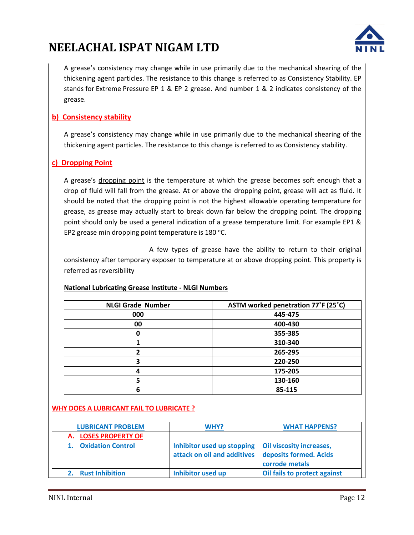

A grease's consistency may change while in use primarily due to the mechanical shearing of the thickening agent particles. The resistance to this change is referred to as Consistency Stability. EP stands for Extreme Pressure EP 1 & EP 2 grease. And number 1 & 2 indicates consistency of the grease.

## **b) Consistency stability**

A grease's consistency may change while in use primarily due to the mechanical shearing of the thickening agent particles. The resistance to this change is referred to as Consistency stability.

## **c) Dropping Point**

A grease's dropping point is the temperature at which the grease becomes soft enough that a drop of fluid will fall from the grease. At or above the dropping point, grease will act as fluid. It should be noted that the dropping point is not the highest allowable operating temperature for grease, as grease may actually start to break down far below the dropping point. The dropping point should only be used a general indication of a grease temperature limit. For example EP1 & EP2 grease min dropping point temperature is  $180^{\circ}$ C.

A few types of grease have the ability to return to their original consistency after temporary exposer to temperature at or above dropping point. This property is referred as reversibility

| <b>NLGI Grade Number</b> | ASTM worked penetration 77°F (25°C) |
|--------------------------|-------------------------------------|
| 000                      | 445-475                             |
| 00                       | 400-430                             |
| 0                        | 355-385                             |
|                          | 310-340                             |
| 2                        | 265-295                             |
| 3                        | 220-250                             |
| 4                        | 175-205                             |
|                          | 130-160                             |
| 6                        | 85-115                              |

### **National Lubricating Grease Institute - NLGI Numbers**

### **WHY DOES A LUBRICANT FAIL TO LUBRICATE ?**

| <b>LUBRICANT PROBLEM</b>       | WHY?                                                      | <b>WHAT HAPPENS?</b>                                                        |
|--------------------------------|-----------------------------------------------------------|-----------------------------------------------------------------------------|
| A. LOSES PROPERTY OF           |                                                           |                                                                             |
| <b>Oxidation Control</b><br>1. | Inhibitor used up stopping<br>attack on oil and additives | <b>Oil viscosity increases,</b><br>deposits formed. Acids<br>corrode metals |
| <b>Rust Inhibition</b>         | <b>Inhibitor used up</b>                                  | Oil fails to protect against                                                |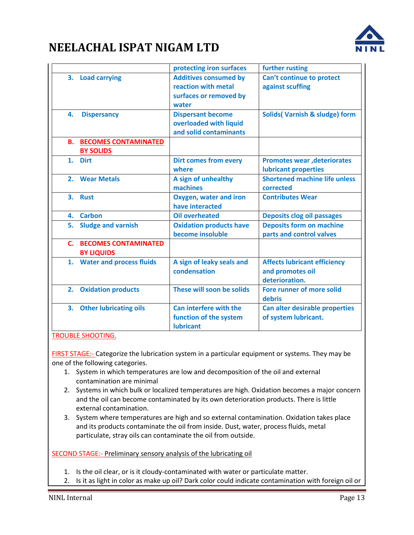

|    |                                                     | protecting iron surfaces                                                               | further rusting                                                           |
|----|-----------------------------------------------------|----------------------------------------------------------------------------------------|---------------------------------------------------------------------------|
|    | 3. Load carrying                                    | <b>Additives consumed by</b><br>reaction with metal<br>surfaces or removed by<br>water | Can't continue to protect<br>against scuffing                             |
| 4. | <b>Dispersancy</b>                                  | <b>Dispersant become</b><br>overloaded with liquid<br>and solid contaminants           | <b>Solids</b> (Varnish & sludge) form                                     |
|    | <b>B. BECOMES CONTAMINATED</b><br><b>BY SOLIDS</b>  |                                                                                        |                                                                           |
|    | 1. Dirt                                             | <b>Dirt comes from every</b><br>where                                                  | <b>Promotes wear, deteriorates</b><br><b>lubricant properties</b>         |
|    | 2. Wear Metals                                      | A sign of unhealthy<br>machines                                                        | <b>Shortened machine life unless</b><br>corrected                         |
|    | 3. Rust                                             | <b>Oxygen, water and iron</b><br>have interacted                                       | <b>Contributes Wear</b>                                                   |
|    | 4. Carbon                                           | <b>Oil overheated</b>                                                                  | <b>Deposits clog oil passages</b>                                         |
| 5. | <b>Sludge and varnish</b>                           | <b>Oxidation products have</b><br>become insoluble                                     | <b>Deposits form on machine</b><br>parts and control valves               |
|    | <b>C. BECOMES CONTAMINATED</b><br><b>BY LIQUIDS</b> |                                                                                        |                                                                           |
|    | 1. Water and process fluids                         | A sign of leaky seals and<br>condensation                                              | <b>Affects lubricant efficiency</b><br>and promotes oil<br>deterioration. |
|    | 2. Oxidation products                               | These will soon be solids                                                              | Fore runner of more solid<br>debris                                       |
|    | 3. Other lubricating oils                           | Can interfere with the<br>function of the system<br><b>lubricant</b>                   | Can alter desirable properties<br>of system lubricant.                    |

### TROUBLE SHOOTING.

FIRST STAGE:- Categorize the lubrication system in a particular equipment or systems. They may be one of the following categories.

- 1. System in which temperatures are low and decomposition of the oil and external contamination are minimal
- 2. Systems in which bulk or localized temperatures are high. Oxidation becomes a major concern and the oil can become contaminated by its own deterioration products. There is little external contamination.
- 3. System where temperatures are high and so external contamination. Oxidation takes place and its products contaminate the oil from inside. Dust, water, process fluids, metal particulate, stray oils can contaminate the oil from outside.

SECOND STAGE:- Preliminary sensory analysis of the lubricating oil

- 1. Is the oil clear, or is it cloudy-contaminated with water or particulate matter.
- 2. Is it as light in color as make up oil? Dark color could indicate contamination with foreign oil or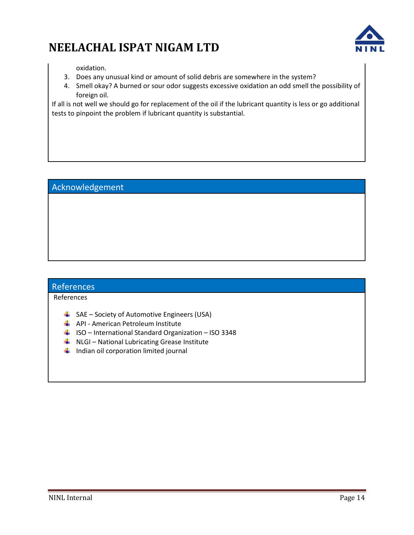

oxidation.

- 3. Does any unusual kind or amount of solid debris are somewhere in the system?
- 4. Smell okay? A burned or sour odor suggests excessive oxidation an odd smell the possibility of foreign oil.

If all is not well we should go for replacement of the oil if the lubricant quantity is less or go additional tests to pinpoint the problem if lubricant quantity is substantial.

## Acknowledgement

## References

References

- $\overline{\phantom{a} \bullet}$  SAE Society of Automotive Engineers (USA)
- **API American Petroleum Institute**
- $\downarrow$  ISO International Standard Organization ISO 3348
- $\downarrow$  NLGI National Lubricating Grease Institute
- $\ddot{\phantom{1}}$  Indian oil corporation limited journal